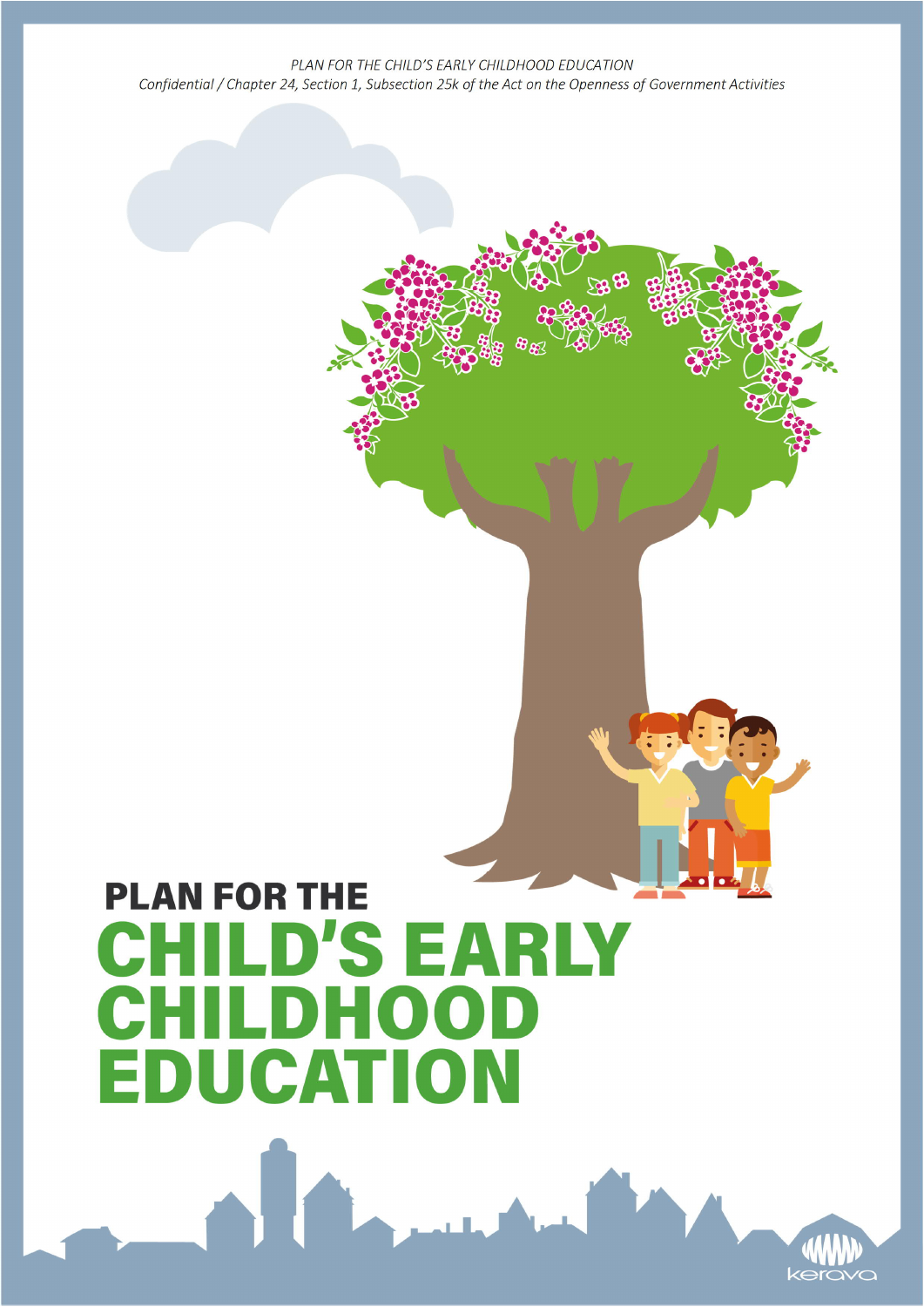# **PLAN FOR THE CHILD'S EARLY CHILDHOOD EDUCATION**

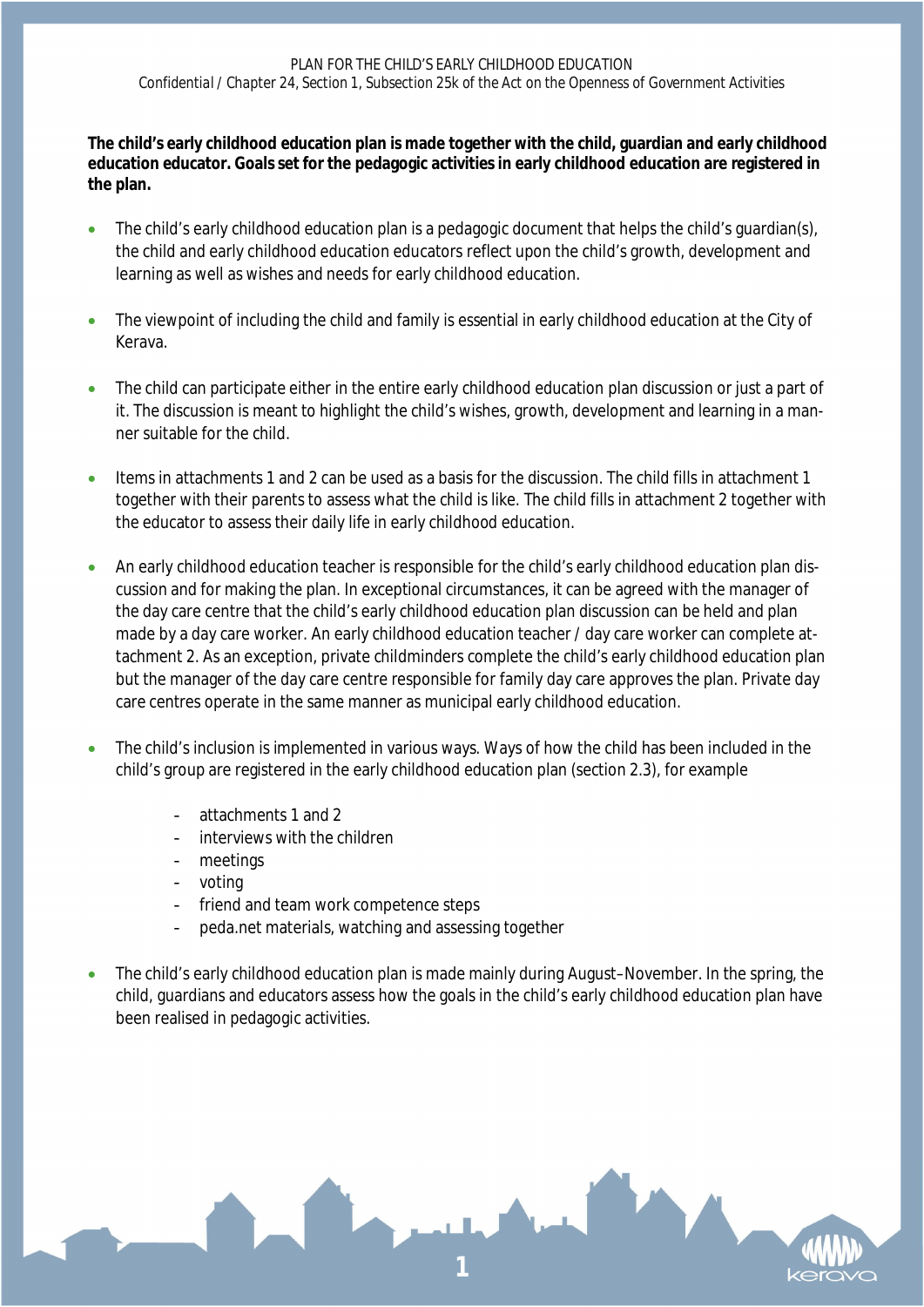**The child's early childhood education plan is made together with the child, guardian and early childhood education educator. Goals set for the pedagogic activities in early childhood education are registered in the plan.**

- The child's early childhood education plan is a pedagogic document that helps the child's guardian(s), the child and early childhood education educators reflect upon the child's growth, development and learning as well as wishes and needs for early childhood education.
- The viewpoint of including the child and family is essential in early childhood education at the City of Kerava.
- The child can participate either in the entire early childhood education plan discussion or just a part of it. The discussion is meant to highlight the child's wishes, growth, development and learning in a manner suitable for the child.
- Items in attachments 1 and 2 can be used as a basis for the discussion. The child fills in attachment 1 together with their parents to assess what the child is like. The child fills in attachment 2 together with the educator to assess their daily life in early childhood education.
- An early childhood education teacher is responsible for the child's early childhood education plan discussion and for making the plan. In exceptional circumstances, it can be agreed with the manager of the day care centre that the child's early childhood education plan discussion can be held and plan made by a day care worker. An early childhood education teacher / day care worker can complete attachment 2. As an exception, private childminders complete the child's early childhood education plan but the manager of the day care centre responsible for family day care approves the plan. Private day care centres operate in the same manner as municipal early childhood education.
- The child's inclusion is implemented in various ways. Ways of how the child has been included in the child's group are registered in the early childhood education plan (section 2.3), for example
	- attachments 1 and 2
	- interviews with the children
	- meetings
	- voting
	- friend and team work competence steps
	- peda.net materials, watching and assessing together
- The child's early childhood education plan is made mainly during August–November. In the spring, the child, guardians and educators assess how the goals in the child's early childhood education plan have been realised in pedagogic activities.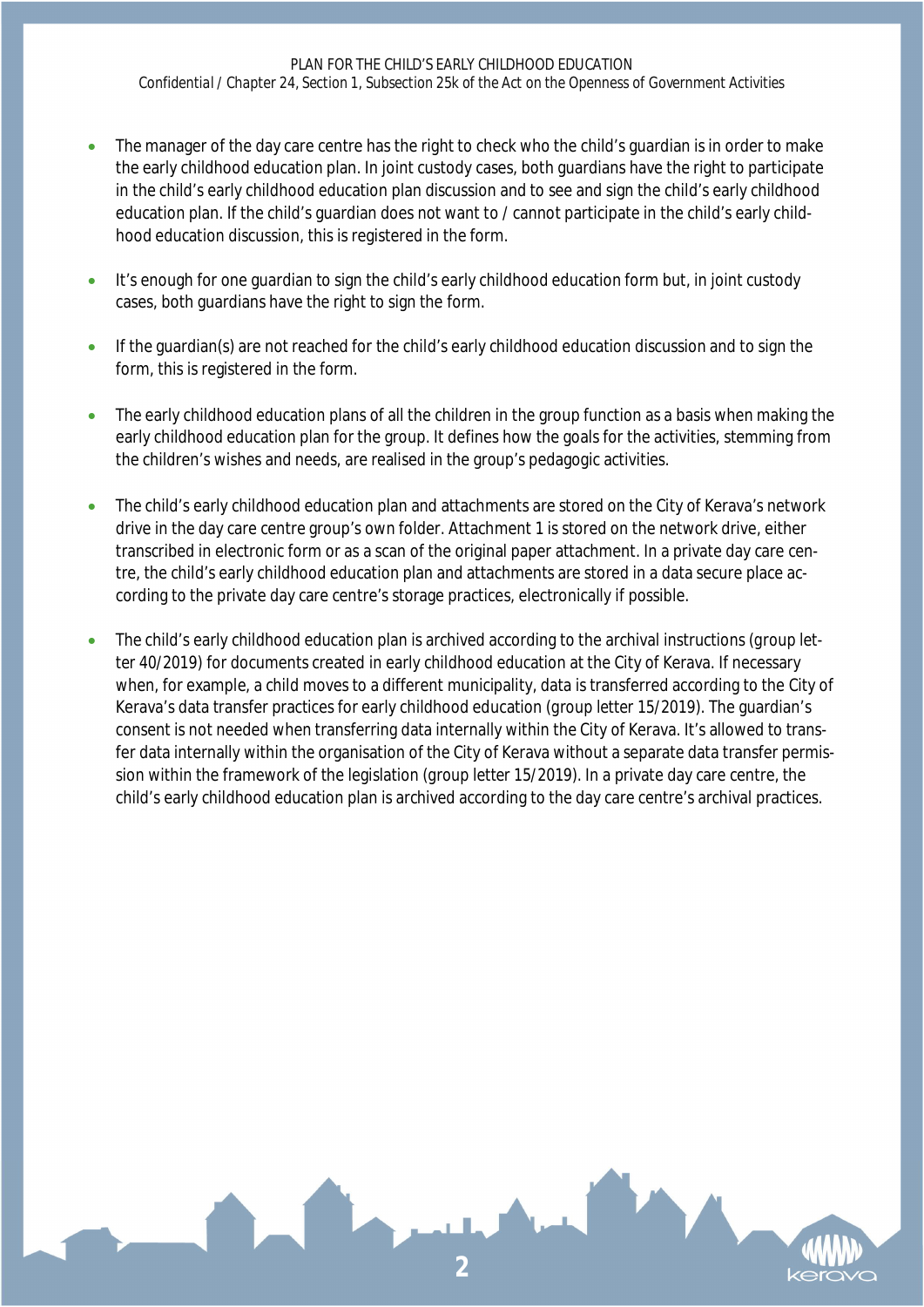- The manager of the day care centre has the right to check who the child's guardian is in order to make the early childhood education plan. In joint custody cases, both guardians have the right to participate in the child's early childhood education plan discussion and to see and sign the child's early childhood education plan. If the child's guardian does not want to / cannot participate in the child's early childhood education discussion, this is registered in the form.
- It's enough for one guardian to sign the child's early childhood education form but, in joint custody cases, both guardians have the right to sign the form.
- If the guardian(s) are not reached for the child's early childhood education discussion and to sign the form, this is registered in the form.
- The early childhood education plans of all the children in the group function as a basis when making the early childhood education plan for the group. It defines how the goals for the activities, stemming from the children's wishes and needs, are realised in the group's pedagogic activities.
- The child's early childhood education plan and attachments are stored on the City of Kerava's network drive in the day care centre group's own folder. Attachment 1 is stored on the network drive, either transcribed in electronic form or as a scan of the original paper attachment. In a private day care centre, the child's early childhood education plan and attachments are stored in a data secure place according to the private day care centre's storage practices, electronically if possible.
- The child's early childhood education plan is archived according to the archival instructions (*group letter 40/2019*) for documents created in early childhood education at the City of Kerava. If necessary when, for example, a child moves to a different municipality, data is transferred according to the City of Kerava's data transfer practices for early childhood education (*group letter 15/2019*). The guardian's consent is not needed when transferring data internally within the City of Kerava. It's allowed to transfer data internally within the organisation of the City of Kerava without a separate data transfer permission within the framework of the legislation (*group letter 15/2019*). In a private day care centre, the child's early childhood education plan is archived according to the day care centre's archival practices.

**2**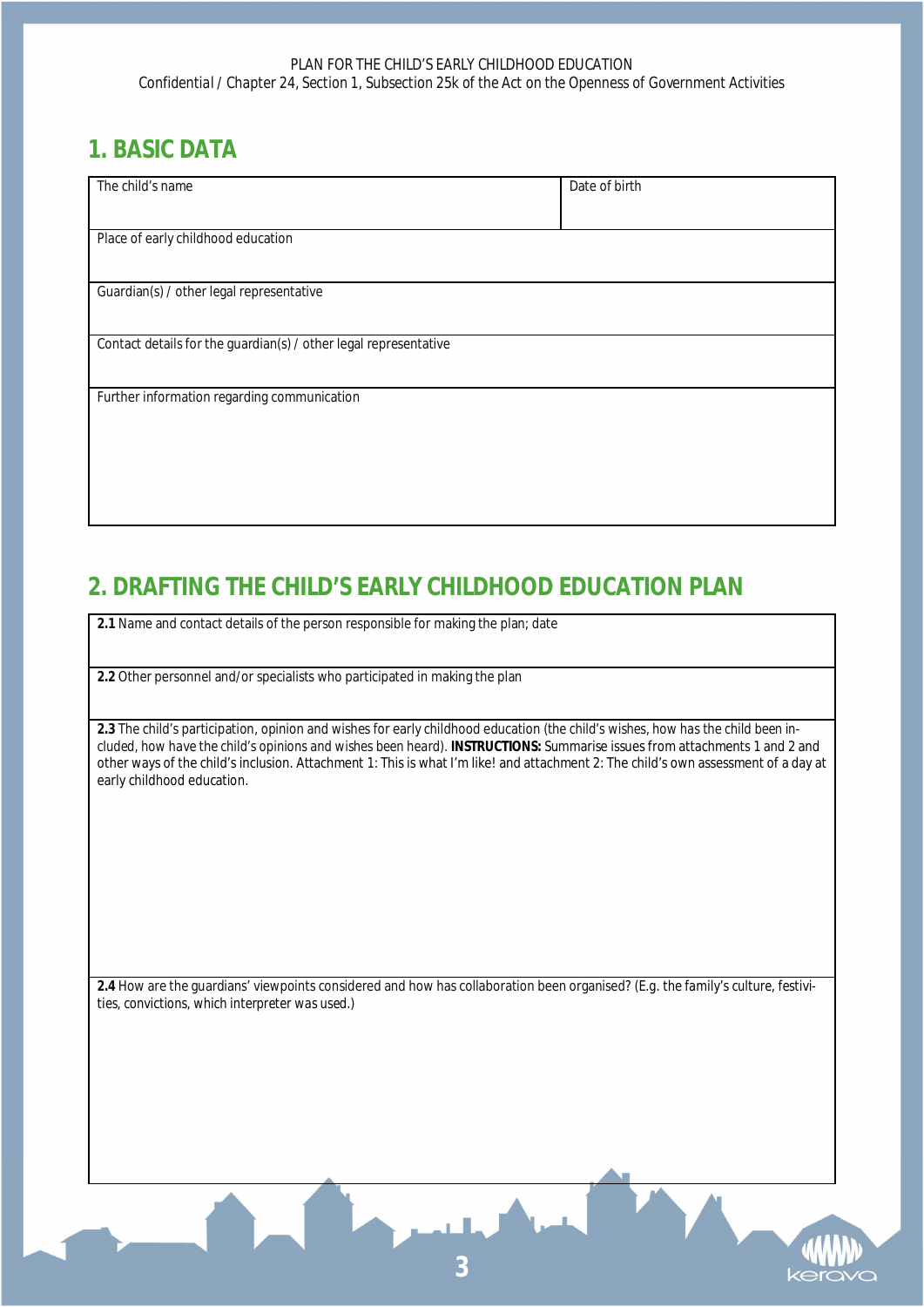## **1. BASIC DATA**

| The child's name                                                 | Date of birth |
|------------------------------------------------------------------|---------------|
|                                                                  |               |
|                                                                  |               |
| Place of early childhood education                               |               |
|                                                                  |               |
| Guardian(s) / other legal representative                         |               |
|                                                                  |               |
| Contact details for the guardian(s) / other legal representative |               |
|                                                                  |               |
|                                                                  |               |
| Further information regarding communication                      |               |
|                                                                  |               |
|                                                                  |               |
|                                                                  |               |
|                                                                  |               |
|                                                                  |               |
|                                                                  |               |

# **2. DRAFTING THE CHILD'S EARLY CHILDHOOD EDUCATION PLAN**

**2.1** Name and contact details of the person responsible for making the plan; date

**2.2** Other personnel and/or specialists who participated in making the plan

**2.3** The child's participation, opinion and wishes for early childhood education *(the child's wishes, how has the child been included, how have the child's opinions and wishes been heard).* **INSTRUCTIONS:** Summarise issues from attachments 1 and 2 and other ways of the child's inclusion. Attachment 1: This is what I'm like! and attachment 2: The child's own assessment of a day at early childhood education.

**2.4** How are the guardians' viewpoints considered and how has collaboration been organised? *(E.g. the family's culture, festivities, convictions, which interpreter was used.)*



**3**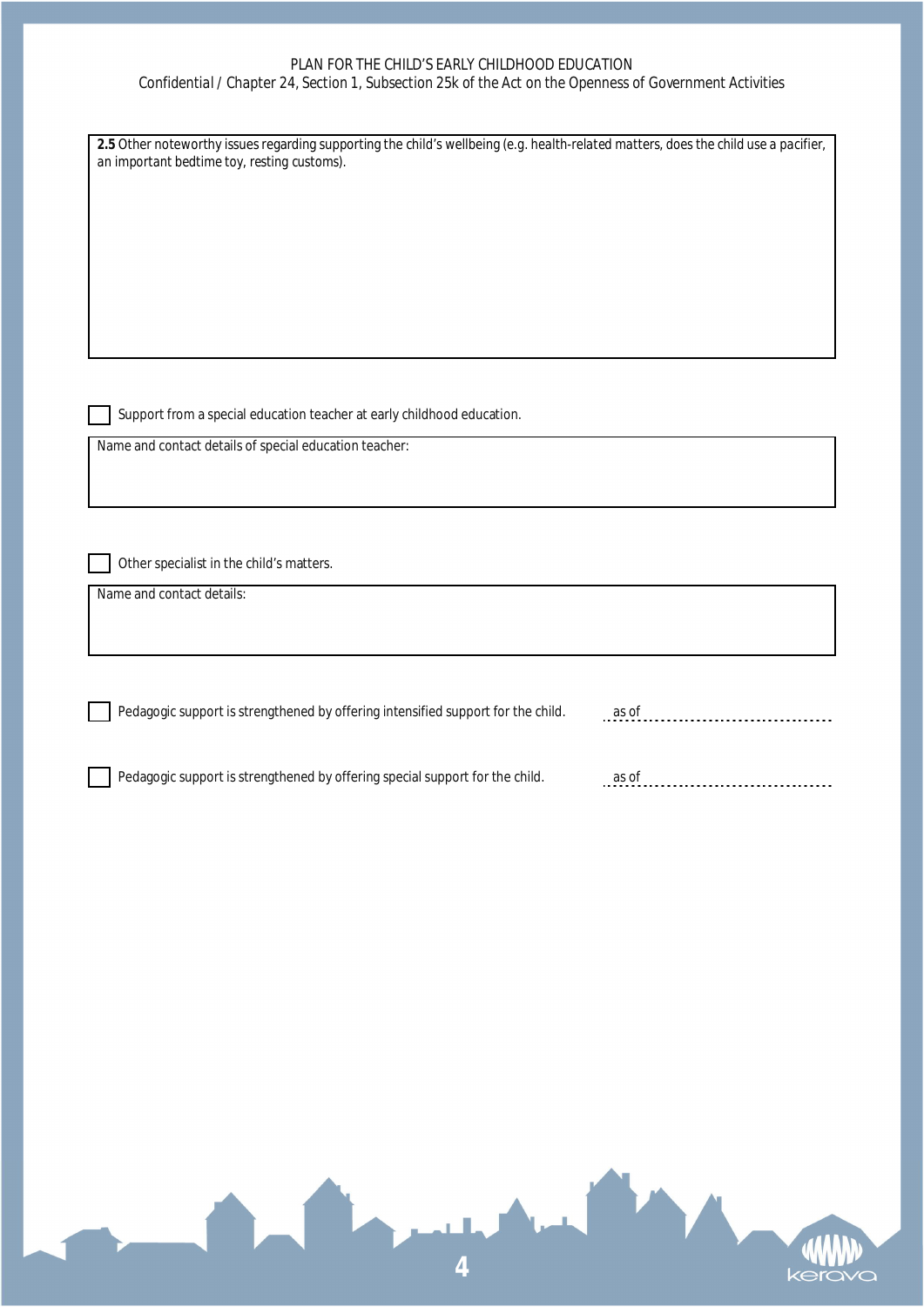#### *PLAN FOR THE CHILD'S EARLY CHILDHOOD EDUCATION*

*Confidential / Chapter 24, Section 1, Subsection 25k of the Act on the Openness of Government Activities*

| an important bedtime toy, resting customs).                                                                                      |       |
|----------------------------------------------------------------------------------------------------------------------------------|-------|
|                                                                                                                                  |       |
|                                                                                                                                  |       |
|                                                                                                                                  |       |
|                                                                                                                                  |       |
|                                                                                                                                  |       |
| Support from a special education teacher at early childhood education.<br>Name and contact details of special education teacher: |       |
|                                                                                                                                  |       |
|                                                                                                                                  |       |
| Other specialist in the child's matters.                                                                                         |       |
| Name and contact details:                                                                                                        |       |
|                                                                                                                                  |       |
|                                                                                                                                  |       |
| Pedagogic support is strengthened by offering intensified support for the child.                                                 | as of |
|                                                                                                                                  |       |
| Pedagogic support is strengthened by offering special support for the child.                                                     | as of |
|                                                                                                                                  |       |
|                                                                                                                                  |       |
|                                                                                                                                  |       |
|                                                                                                                                  |       |
|                                                                                                                                  |       |
|                                                                                                                                  |       |
|                                                                                                                                  |       |
|                                                                                                                                  |       |
|                                                                                                                                  |       |
|                                                                                                                                  |       |

**4**

kera

 $\overline{O}$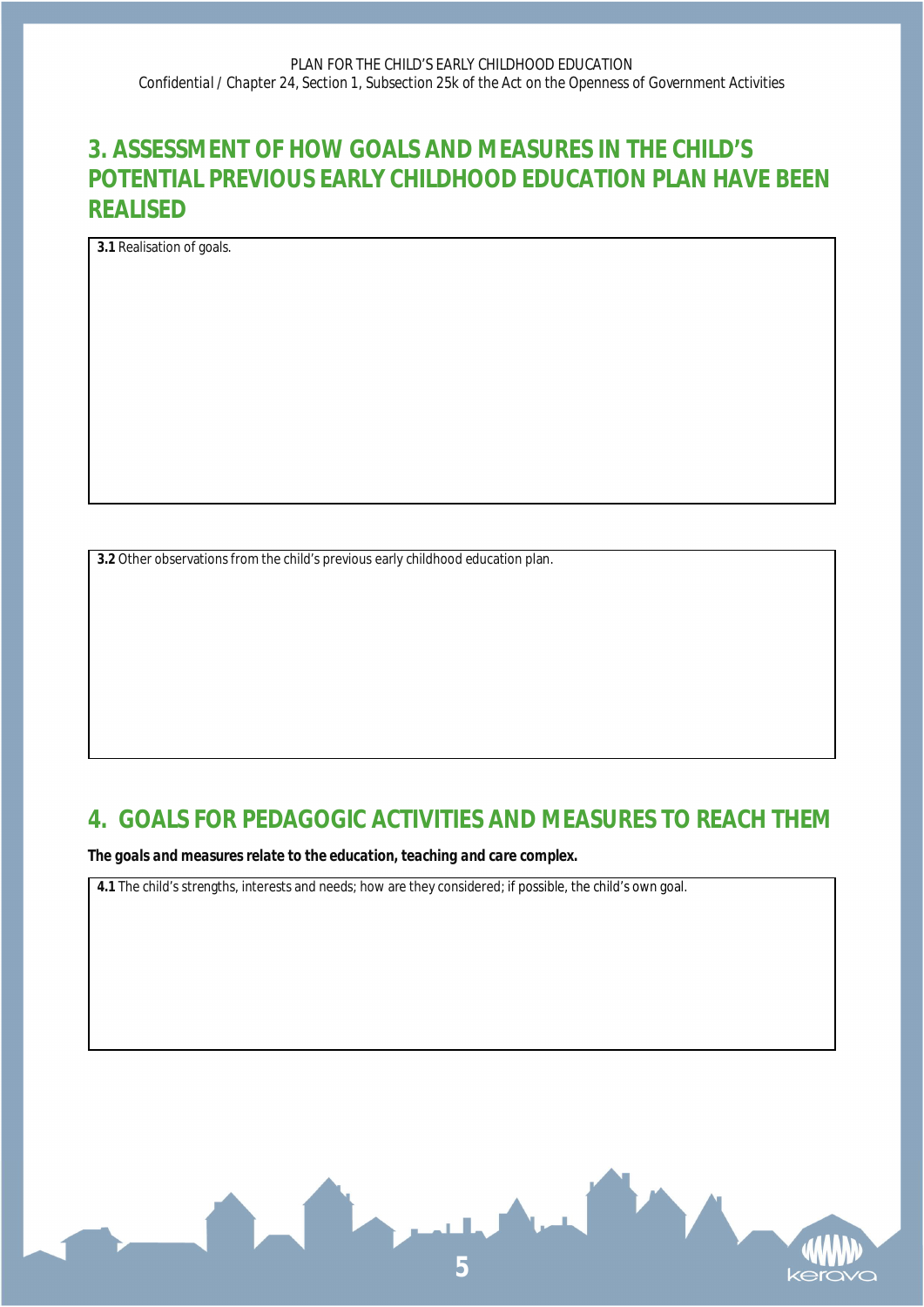## **3. ASSESSMENT OF HOW GOALS AND MEASURES IN THE CHILD'S POTENTIAL PREVIOUS EARLY CHILDHOOD EDUCATION PLAN HAVE BEEN REALISED**

**3.1** Realisation of goals.

**3.2** Other observations from the child's previous early childhood education plan.

### **4. GOALS FOR PEDAGOGIC ACTIVITIES AND MEASURES TO REACH THEM**

*The goals and measures relate to the education, teaching and care complex.*

**4.1** The child's strengths, interests and needs; how are they considered; if possible, the child's own goal.

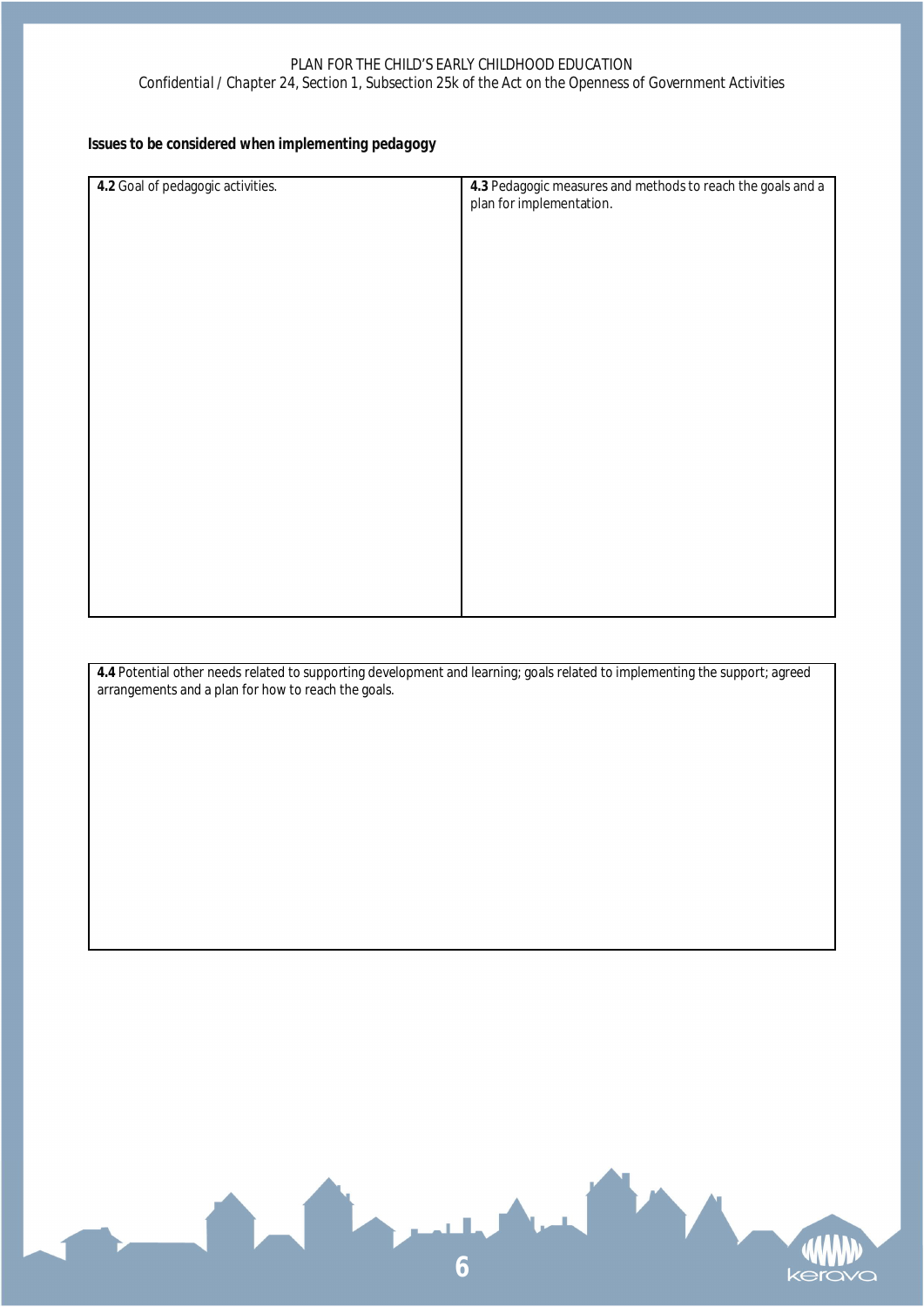*Issues to be considered when implementing pedagogy*

| 4.2 Goal of pedagogic activities. | 4.3 Pedagogic measures and methods to reach the goals and a<br>plan for implementation. |
|-----------------------------------|-----------------------------------------------------------------------------------------|
|                                   |                                                                                         |
|                                   |                                                                                         |
|                                   |                                                                                         |
|                                   |                                                                                         |
|                                   |                                                                                         |
|                                   |                                                                                         |
|                                   |                                                                                         |
|                                   |                                                                                         |
|                                   |                                                                                         |
|                                   |                                                                                         |
|                                   |                                                                                         |

**4.4** Potential other needs related to supporting development and learning; goals related to implementing the support; agreed arrangements and a plan for how to reach the goals.

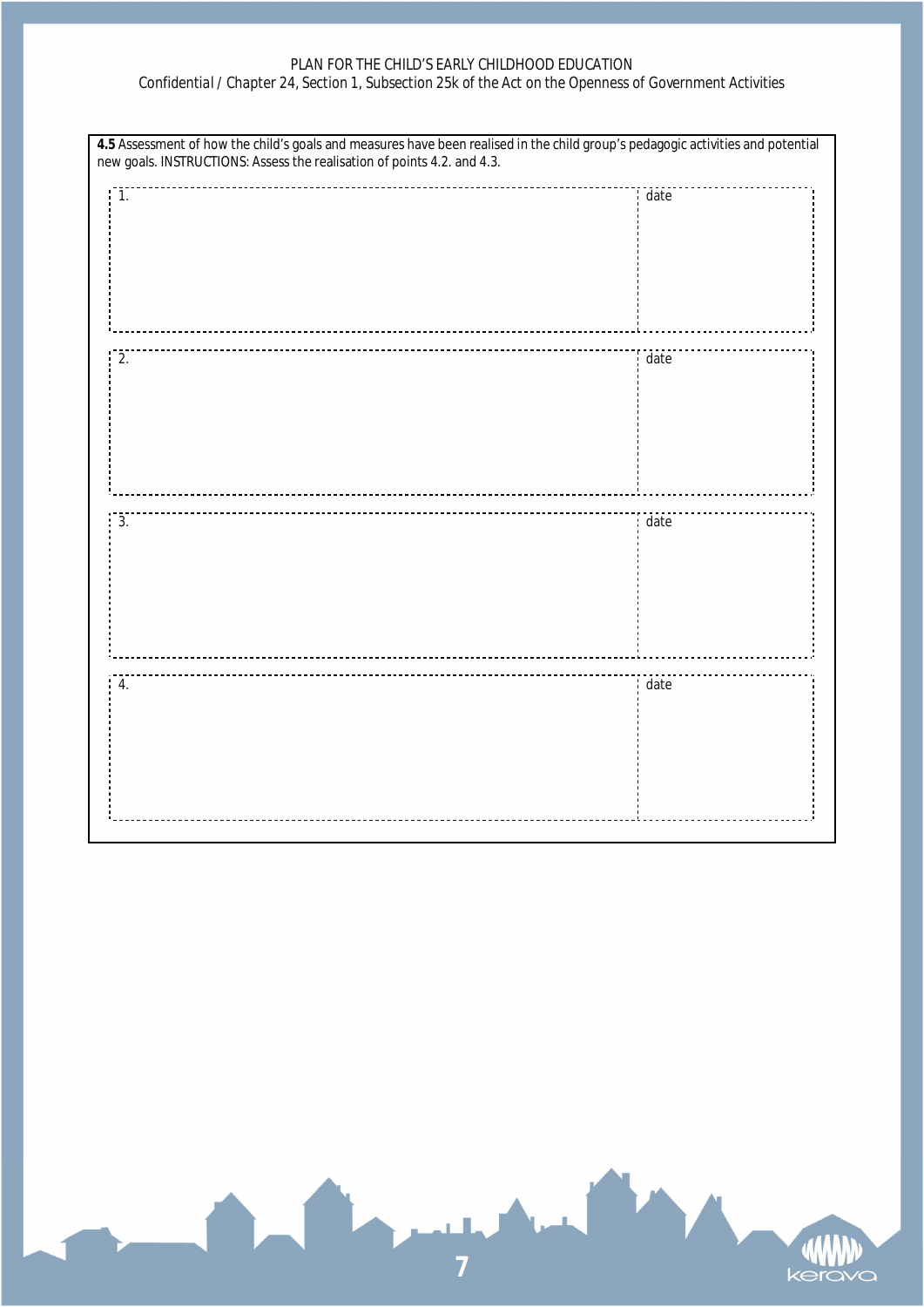#### *PLAN FOR THE CHILD'S EARLY CHILDHOOD EDUCATION*

#### *Confidential / Chapter 24, Section 1, Subsection 25k of the Act on the Openness of Government Activities*

| 4.5 Assessment of how the child's goals and measures have been realised in the child group's pedagogic activities and potential new goals. INSTRUCTIONS: Assess the realisation of points 4.2. and 4.3. |      |
|---------------------------------------------------------------------------------------------------------------------------------------------------------------------------------------------------------|------|
| $\overline{1}$ .                                                                                                                                                                                        | date |
| 2.                                                                                                                                                                                                      | date |
|                                                                                                                                                                                                         |      |
|                                                                                                                                                                                                         |      |
| 3.                                                                                                                                                                                                      | date |
| 4.                                                                                                                                                                                                      | date |

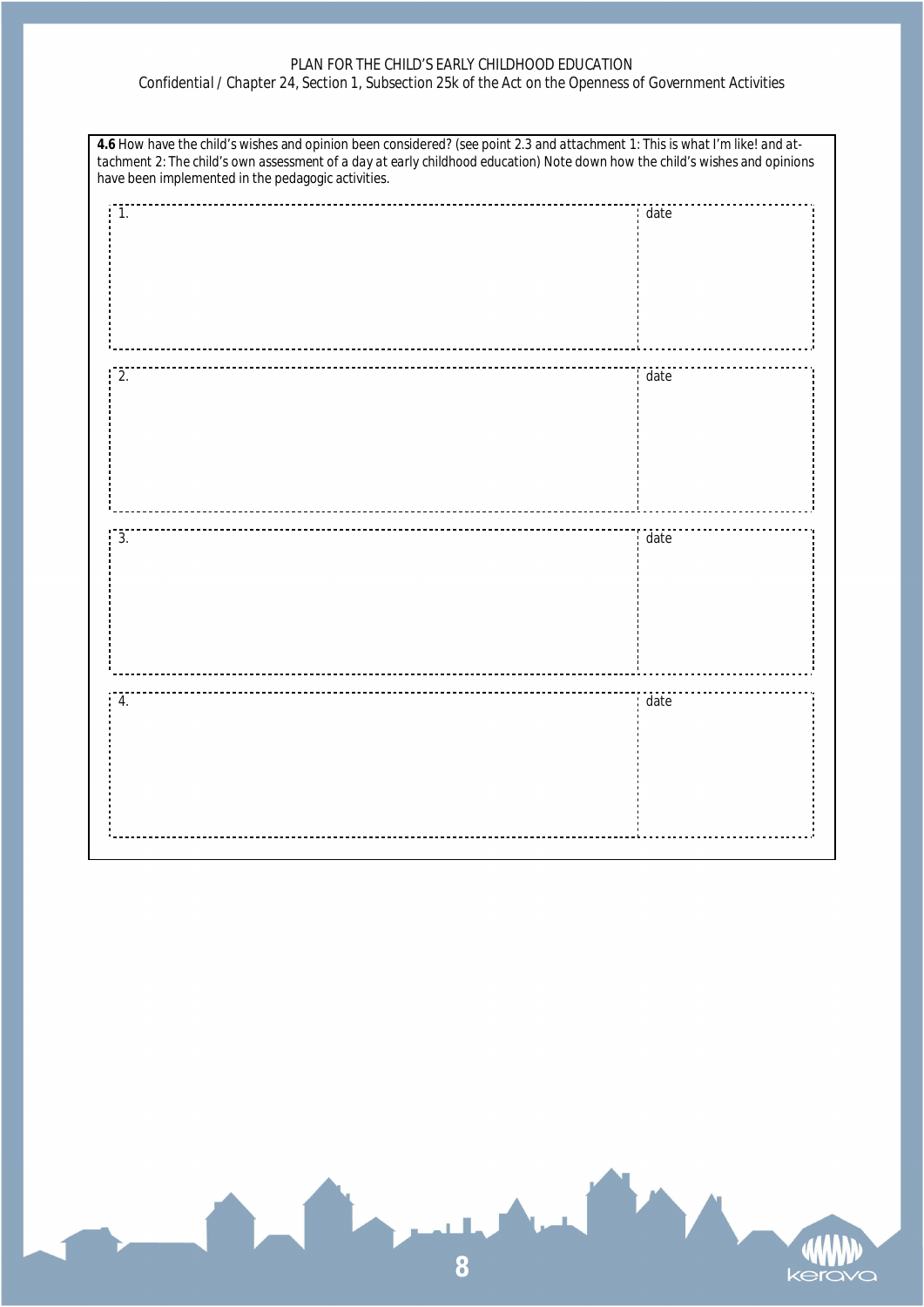#### *PLAN FOR THE CHILD'S EARLY CHILDHOOD EDUCATION*

#### *Confidential / Chapter 24, Section 1, Subsection 25k of the Act on the Openness of Government Activities*

| 4.6 How have the child's wishes and opinion been considered? (see point 2.3 and attachment 1: This is what I'm like! and at-<br>tachment 2: The child's own assessment of a day at early childhood education) Note down how the child's wishes and opinions<br>have been implemented in the pedagogic activities. |      |
|-------------------------------------------------------------------------------------------------------------------------------------------------------------------------------------------------------------------------------------------------------------------------------------------------------------------|------|
| $\overline{1}$ .                                                                                                                                                                                                                                                                                                  | date |
| 2.                                                                                                                                                                                                                                                                                                                | date |
| 3.                                                                                                                                                                                                                                                                                                                | date |
| 4.                                                                                                                                                                                                                                                                                                                | date |

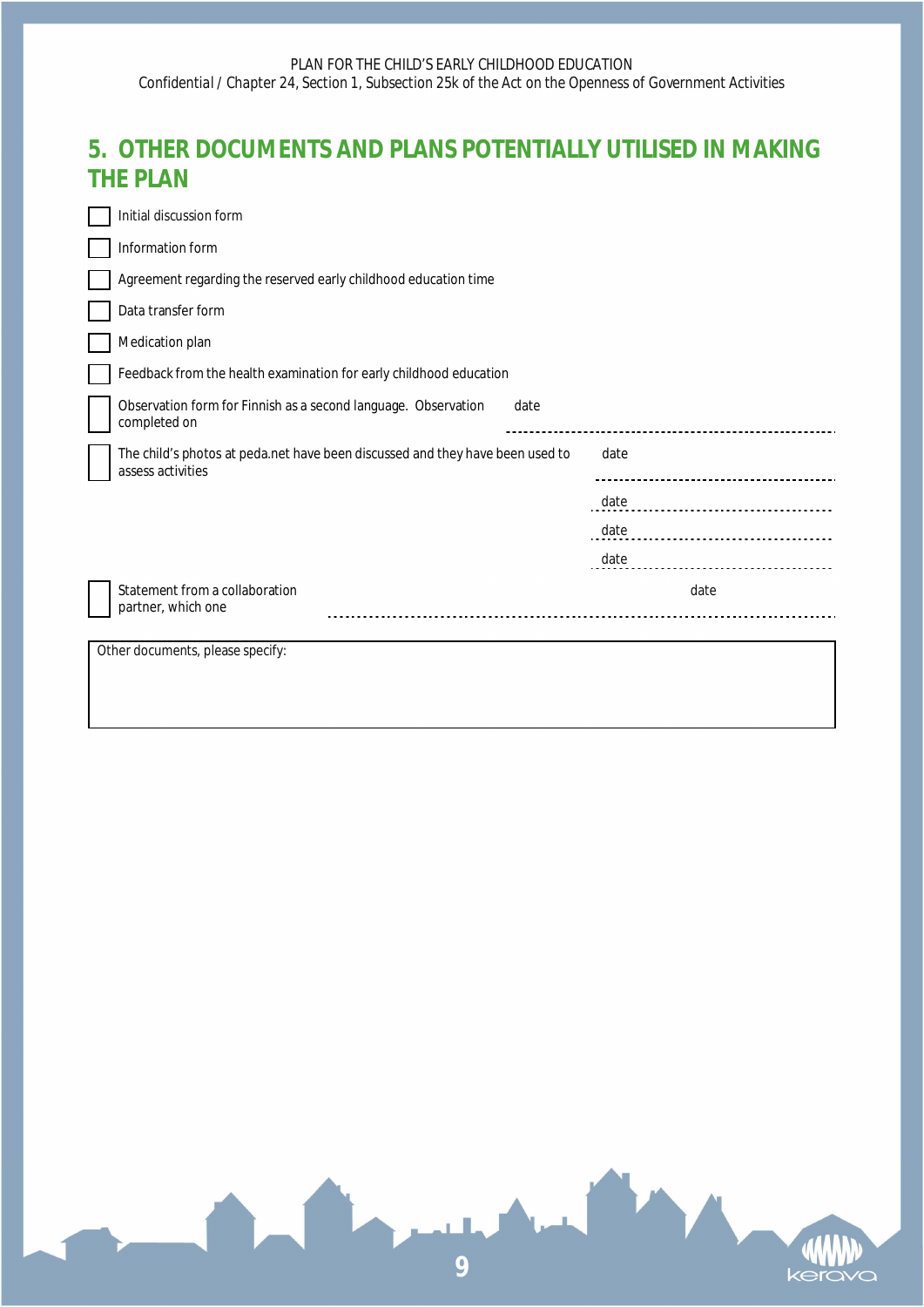## **5. OTHER DOCUMENTS AND PLANS POTENTIALLY UTILISED IN MAKING THE PLAN**

| Initial discussion form                                                                            |      |      |  |
|----------------------------------------------------------------------------------------------------|------|------|--|
| Information form                                                                                   |      |      |  |
| Agreement regarding the reserved early childhood education time                                    |      |      |  |
| Data transfer form                                                                                 |      |      |  |
| Medication plan                                                                                    |      |      |  |
| Feedback from the health examination for early childhood education                                 |      |      |  |
| Observation form for Finnish as a second language. Observation<br>date<br>completed on             |      |      |  |
| The child's photos at peda.net have been discussed and they have been used to<br>assess activities | date |      |  |
|                                                                                                    | date |      |  |
|                                                                                                    | date |      |  |
|                                                                                                    | date |      |  |
| Statement from a collaboration<br>partner, which one                                               |      | date |  |
| Other documents, please specify:                                                                   |      |      |  |